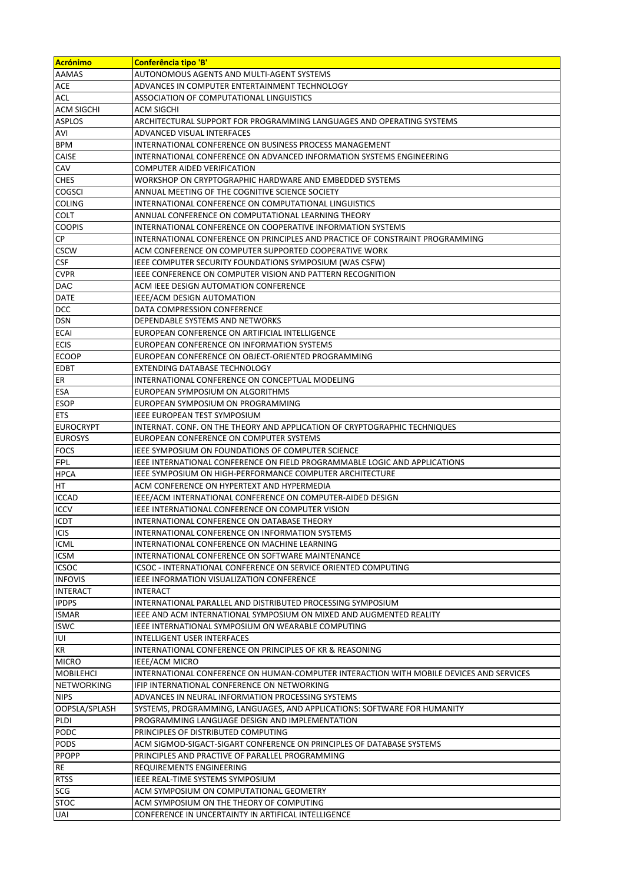| Acrónimo            | Conferência tipo 'B'                                                                             |
|---------------------|--------------------------------------------------------------------------------------------------|
| AAMAS               | AUTONOMOUS AGENTS AND MULTI-AGENT SYSTEMS                                                        |
| ACE                 | ADVANCES IN COMPUTER ENTERTAINMENT TECHNOLOGY                                                    |
| ACL                 | ASSOCIATION OF COMPUTATIONAL LINGUISTICS                                                         |
| <b>ACM SIGCHI</b>   | ACM SIGCHI                                                                                       |
| <b>ASPLOS</b>       | ARCHITECTURAL SUPPORT FOR PROGRAMMING LANGUAGES AND OPERATING SYSTEMS                            |
| AVI                 | ADVANCED VISUAL INTERFACES                                                                       |
| <b>BPM</b>          | INTERNATIONAL CONFERENCE ON BUSINESS PROCESS MANAGEMENT                                          |
| <b>CAISE</b>        | INTERNATIONAL CONFERENCE ON ADVANCED INFORMATION SYSTEMS ENGINEERING                             |
| CAV                 | COMPUTER AIDED VERIFICATION                                                                      |
| <b>CHES</b>         | WORKSHOP ON CRYPTOGRAPHIC HARDWARE AND EMBEDDED SYSTEMS                                          |
| <b>COGSCI</b>       | ANNUAL MEETING OF THE COGNITIVE SCIENCE SOCIETY                                                  |
| <b>COLING</b>       | INTERNATIONAL CONFERENCE ON COMPUTATIONAL LINGUISTICS                                            |
| <b>COLT</b>         | ANNUAL CONFERENCE ON COMPUTATIONAL LEARNING THEORY                                               |
| <b>COOPIS</b>       | INTERNATIONAL CONFERENCE ON COOPERATIVE INFORMATION SYSTEMS                                      |
| СP                  | INTERNATIONAL CONFERENCE ON PRINCIPLES AND PRACTICE OF CONSTRAINT PROGRAMMING                    |
| <b>CSCW</b>         | ACM CONFERENCE ON COMPUTER SUPPORTED COOPERATIVE WORK                                            |
| <b>CSF</b>          | IEEE COMPUTER SECURITY FOUNDATIONS SYMPOSIUM (WAS CSFW)                                          |
| <b>CVPR</b>         | IEEE CONFERENCE ON COMPUTER VISION AND PATTERN RECOGNITION                                       |
| <b>DAC</b>          | ACM IEEE DESIGN AUTOMATION CONFERENCE                                                            |
| <b>DATE</b>         | IEEE/ACM DESIGN AUTOMATION                                                                       |
| DCC                 | DATA COMPRESSION CONFERENCE                                                                      |
| DSN                 | DEPENDABLE SYSTEMS AND NETWORKS                                                                  |
| <b>ECAI</b>         | EUROPEAN CONFERENCE ON ARTIFICIAL INTELLIGENCE                                                   |
| <b>ECIS</b>         | EUROPEAN CONFERENCE ON INFORMATION SYSTEMS                                                       |
| <b>ECOOP</b>        | EUROPEAN CONFERENCE ON OBJECT-ORIENTED PROGRAMMING                                               |
| <b>EDBT</b>         | EXTENDING DATABASE TECHNOLOGY                                                                    |
| ER                  | INTERNATIONAL CONFERENCE ON CONCEPTUAL MODELING                                                  |
| <b>ESA</b>          | EUROPEAN SYMPOSIUM ON ALGORITHMS                                                                 |
| <b>ESOP</b>         | EUROPEAN SYMPOSIUM ON PROGRAMMING                                                                |
| <b>ETS</b>          | IEEE EUROPEAN TEST SYMPOSIUM                                                                     |
| <b>EUROCRYPT</b>    | INTERNAT. CONF. ON THE THEORY AND APPLICATION OF CRYPTOGRAPHIC TECHNIQUES                        |
| <b>EUROSYS</b>      | EUROPEAN CONFERENCE ON COMPUTER SYSTEMS                                                          |
| <b>FOCS</b>         | IEEE SYMPOSIUM ON FOUNDATIONS OF COMPUTER SCIENCE                                                |
| <b>FPL</b>          | IEEE INTERNATIONAL CONFERENCE ON FIELD PROGRAMMABLE LOGIC AND APPLICATIONS                       |
| <b>HPCA</b>         | <b>IEEE SYMPOSIUM ON HIGH-PERFORMANCE COMPUTER ARCHITECTURE</b>                                  |
| HT                  | ACM CONFERENCE ON HYPERTEXT AND HYPERMEDIA                                                       |
| <b>ICCAD</b>        | IEEE/ACM INTERNATIONAL CONFERENCE ON COMPUTER-AIDED DESIGN                                       |
| <b>ICCV</b>         | IEEE INTERNATIONAL CONFERENCE ON COMPUTER VISION                                                 |
| <b>ICDT</b>         | INTERNATIONAL CONFERENCE ON DATABASE THEORY                                                      |
| ICIS<br><b>ICML</b> | INTERNATIONAL CONFERENCE ON INFORMATION SYSTEMS                                                  |
| <b>ICSM</b>         | INTERNATIONAL CONFERENCE ON MACHINE LEARNING<br>INTERNATIONAL CONFERENCE ON SOFTWARE MAINTENANCE |
| <b>ICSOC</b>        | ICSOC - INTERNATIONAL CONFERENCE ON SERVICE ORIENTED COMPUTING                                   |
| <b>INFOVIS</b>      | <b>IEEE INFORMATION VISUALIZATION CONFERENCE</b>                                                 |
| <b>INTERACT</b>     | INTERACT                                                                                         |
| <b>IPDPS</b>        | INTERNATIONAL PARALLEL AND DISTRIBUTED PROCESSING SYMPOSIUM                                      |
| <b>ISMAR</b>        | IEEE AND ACM INTERNATIONAL SYMPOSIUM ON MIXED AND AUGMENTED REALITY                              |
| <b>ISWC</b>         | IEEE INTERNATIONAL SYMPOSIUM ON WEARABLE COMPUTING                                               |
| IUI                 | INTELLIGENT USER INTERFACES                                                                      |
| KR                  | INTERNATIONAL CONFERENCE ON PRINCIPLES OF KR & REASONING                                         |
| <b>MICRO</b>        | <b>IEEE/ACM MICRO</b>                                                                            |
| <b>MOBILEHCI</b>    | INTERNATIONAL CONFERENCE ON HUMAN-COMPUTER INTERACTION WITH MOBILE DEVICES AND SERVICES          |
| <b>NETWORKING</b>   | IFIP INTERNATIONAL CONFERENCE ON NETWORKING                                                      |
| <b>NIPS</b>         | ADVANCES IN NEURAL INFORMATION PROCESSING SYSTEMS                                                |
| OOPSLA/SPLASH       | SYSTEMS, PROGRAMMING, LANGUAGES, AND APPLICATIONS: SOFTWARE FOR HUMANITY                         |
| PLDI                | PROGRAMMING LANGUAGE DESIGN AND IMPLEMENTATION                                                   |
| <b>PODC</b>         | PRINCIPLES OF DISTRIBUTED COMPUTING                                                              |
| <b>PODS</b>         | ACM SIGMOD-SIGACT-SIGART CONFERENCE ON PRINCIPLES OF DATABASE SYSTEMS                            |
| <b>PPOPP</b>        | PRINCIPLES AND PRACTIVE OF PARALLEL PROGRAMMING                                                  |
| RE                  | REQUIREMENTS ENGINEERING                                                                         |
| <b>RTSS</b>         | IEEE REAL-TIME SYSTEMS SYMPOSIUM                                                                 |
| SCG                 | ACM SYMPOSIUM ON COMPUTATIONAL GEOMETRY                                                          |
| <b>STOC</b>         | ACM SYMPOSIUM ON THE THEORY OF COMPUTING                                                         |
| <b>UAI</b>          | CONFERENCE IN UNCERTAINTY IN ARTIFICAL INTELLIGENCE                                              |